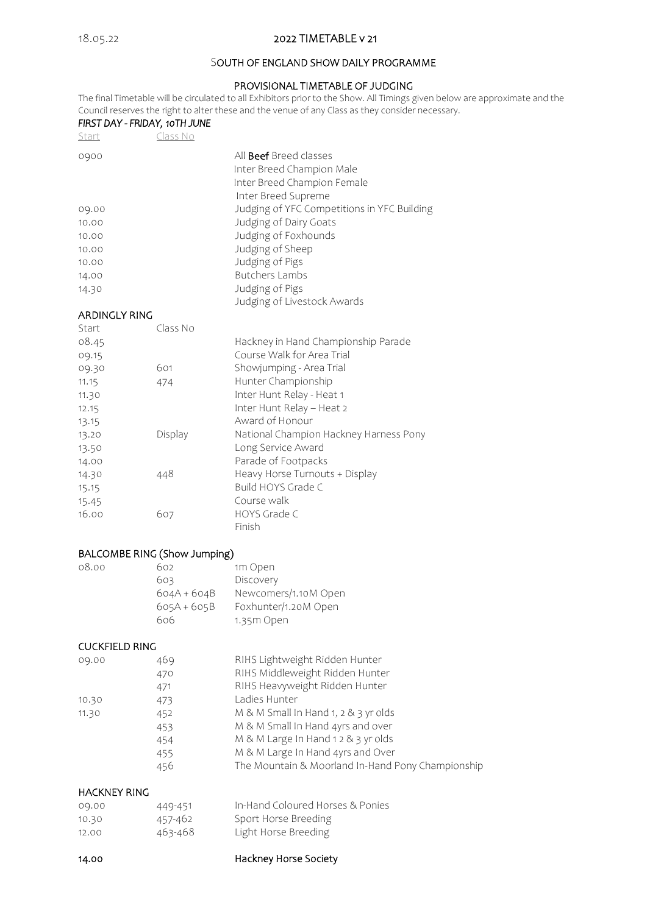### 18.05.22 2022 TIMETABLE v 21

### SOUTH OF ENGLAND SHOW DAILY PROGRAMME

#### PROVISIONAL TIMETABLE OF JUDGING

The final Timetable will be circulated to all Exhibitors prior to the Show. All Timings given below are approximate and the Council reserves the right to alter these and the venue of any Class as they consider necessary.

|               | FIRST DAY - FRIDAY, 10TH JUNE | Council reserves the right to after these and the venue or any class as they consider nec |
|---------------|-------------------------------|-------------------------------------------------------------------------------------------|
| Start         | Class No                      |                                                                                           |
| 0900          |                               | All <b>Beef</b> Breed classes                                                             |
|               |                               | Inter Breed Champion Male                                                                 |
|               |                               | Inter Breed Champion Female                                                               |
|               |                               | Inter Breed Supreme                                                                       |
| 09.00         |                               | Judging of YFC Competitions in YFC Building                                               |
| 10.00         |                               | Judging of Dairy Goats                                                                    |
| 10.00         |                               | Judging of Foxhounds                                                                      |
| 10.00         |                               | Judging of Sheep                                                                          |
| 10.00         |                               | Judging of Pigs                                                                           |
| 14.00         |                               | <b>Butchers Lambs</b>                                                                     |
| 14.30         |                               | Judging of Pigs                                                                           |
|               |                               | Judging of Livestock Awards                                                               |
| ARDINGLY RING |                               |                                                                                           |
| Start         | Class No                      |                                                                                           |
| 08.45         |                               | Hackney in Hand Championship Parade                                                       |
| 09.15         |                               | Course Walk for Area Trial                                                                |
| 09.30         | 601                           | Showjumping - Area Trial                                                                  |
| 11.15         | 474                           | Hunter Championship                                                                       |
| 11.30         |                               | Inter Hunt Relay - Heat 1                                                                 |
| 12.15         |                               | Inter Hunt Relay - Heat 2                                                                 |
| 13.15         |                               | Award of Honour                                                                           |
| 12.20         | Dicolou                       | National Champion Hackpoy Harpess Dopy                                                    |

# 13.20 Display National Champion Hackney Harness Pony 13.50 Long Service Award

| 1, 3, 7 |     | LUITE JUIVILL / WYAIU          |
|---------|-----|--------------------------------|
| 14.00   |     | Parade of Footpacks            |
| 14.30   | 448 | Heavy Horse Turnouts + Display |
| 15.15   |     | Build HOYS Grade C             |
| 15.45   |     | Course walk                    |
| 16.00   | 607 | HOYS Grade C                   |
|         |     | Finish                         |
|         |     |                                |

### BALCOMBE RING (Show Jumping)

| 08.00 | 602           | 1m Open              |
|-------|---------------|----------------------|
|       | 603           | Discovery            |
|       | $604A + 604B$ | Newcomers/1.10M Open |
|       | $605A + 605B$ | Foxhunter/1.20M Open |
|       | 606           | 1.35m Open           |

#### CUCKFIELD RING

| 09.00 | 469 | RIHS Lightweight Ridden Hunter                    |
|-------|-----|---------------------------------------------------|
|       | 470 | RIHS Middleweight Ridden Hunter                   |
|       | 471 | RIHS Heavyweight Ridden Hunter                    |
| 10.30 | 473 | Ladies Hunter                                     |
| 11.30 | 452 | M & M Small In Hand 1, 2 & 3 yr olds              |
|       | 453 | M & M Small In Hand 4yrs and over                 |
|       | 454 | M & M Large In Hand 1 2 & 3 yr olds               |
|       | 455 | M & M Large In Hand 4yrs and Over                 |
|       | 456 | The Mountain & Moorland In-Hand Pony Championship |
|       |     |                                                   |

# HACKNEY RING

| 09.00 | 449-451 | In-Hand Coloured Horses & Ponies |
|-------|---------|----------------------------------|
| 10.30 | 457-462 | Sport Horse Breeding             |
| 12.00 | 463-468 | Light Horse Breeding             |

### 14.00 Hackney Horse Society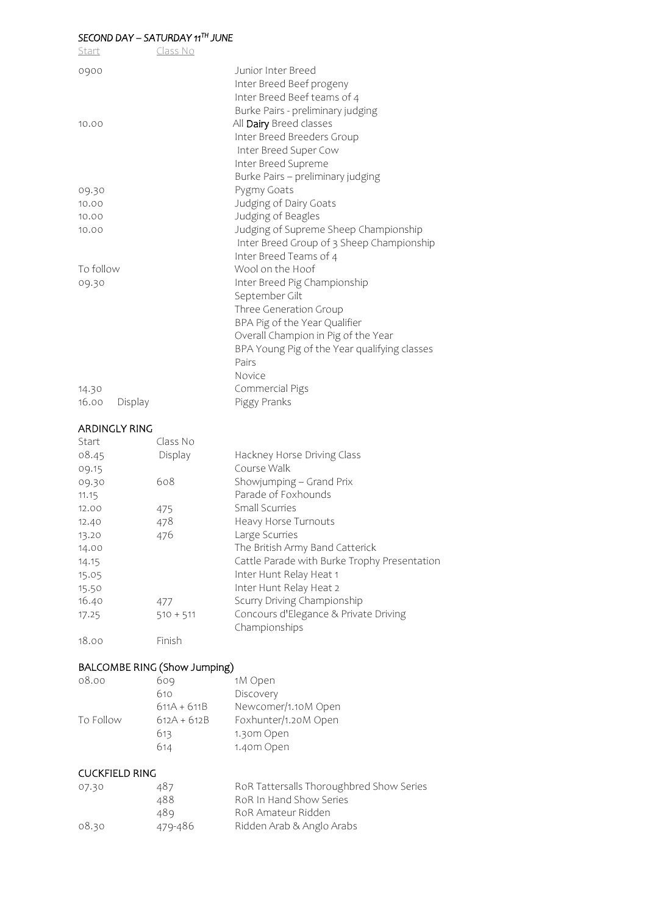### *SECOND DAY – SATURDAY 11TH JUNE*

| Start     |         | Class No |                                                                                     |
|-----------|---------|----------|-------------------------------------------------------------------------------------|
| 0900      |         |          | Junior Inter Breed<br>Inter Breed Beef progeny                                      |
|           |         |          | Inter Breed Beef teams of 4                                                         |
| 10.00     |         |          | Burke Pairs - preliminary judging<br>All Dairy Breed classes                        |
|           |         |          | Inter Breed Breeders Group                                                          |
|           |         |          | Inter Breed Super Cow                                                               |
|           |         |          | Inter Breed Supreme                                                                 |
|           |         |          | Burke Pairs - preliminary judging                                                   |
| 09.30     |         |          | Pygmy Goats                                                                         |
| 10.00     |         |          | Judging of Dairy Goats                                                              |
| 10.00     |         |          | Judging of Beagles                                                                  |
| 10.00     |         |          | Judging of Supreme Sheep Championship                                               |
|           |         |          | Inter Breed Group of 3 Sheep Championship                                           |
|           |         |          | Inter Breed Teams of 4                                                              |
| To follow |         |          | Wool on the Hoof                                                                    |
| 09.30     |         |          | Inter Breed Pig Championship                                                        |
|           |         |          | September Gilt                                                                      |
|           |         |          | Three Generation Group                                                              |
|           |         |          | BPA Pig of the Year Qualifier                                                       |
|           |         |          | Overall Champion in Pig of the Year<br>BPA Young Pig of the Year qualifying classes |
|           |         |          | Pairs                                                                               |
|           |         |          | Novice                                                                              |
| 14.30     |         |          | Commercial Pigs                                                                     |
| 16.00     | Display |          | Piggy Pranks                                                                        |

## ARDINGLY RING

| Start | Class No    |                                              |
|-------|-------------|----------------------------------------------|
| 08.45 | Display     | Hackney Horse Driving Class                  |
| 09.15 |             | Course Walk                                  |
| 09.30 | 608         | Showjumping - Grand Prix                     |
| 11.15 |             | Parade of Foxhounds                          |
| 12.00 | 475         | Small Scurries                               |
| 12.40 | 478         | Heavy Horse Turnouts                         |
| 13.20 | 476         | Large Scurries                               |
| 14.00 |             | The British Army Band Catterick              |
| 14.15 |             | Cattle Parade with Burke Trophy Presentation |
| 15.05 |             | Inter Hunt Relay Heat 1                      |
| 15.50 |             | Inter Hunt Relay Heat 2                      |
| 16.40 | 477         | Scurry Driving Championship                  |
| 17.25 | $510 + 511$ | Concours d'Elegance & Private Driving        |
|       |             | Championships                                |
| 18.00 | Finish      |                                              |

### BALCOMBE RING (Show Jumping)

| 08.00     | 609           | 1M Open              |
|-----------|---------------|----------------------|
|           | 610           | Discovery            |
|           | $611A + 611B$ | Newcomer/1.10M Open  |
| To Follow | $612A + 612B$ | Foxhunter/1.20M Open |
|           | 613           | 1.30m Open           |
|           | 614           | 1.40m Open           |
|           |               |                      |

#### CUCKFIELD RING

| 07.30 | 487     | RoR Tattersalls Thoroughbred Show Series |
|-------|---------|------------------------------------------|
|       | 488     | RoR In Hand Show Series                  |
|       | 489     | RoR Amateur Ridden                       |
| 08.30 | 479-486 | Ridden Arab & Anglo Arabs                |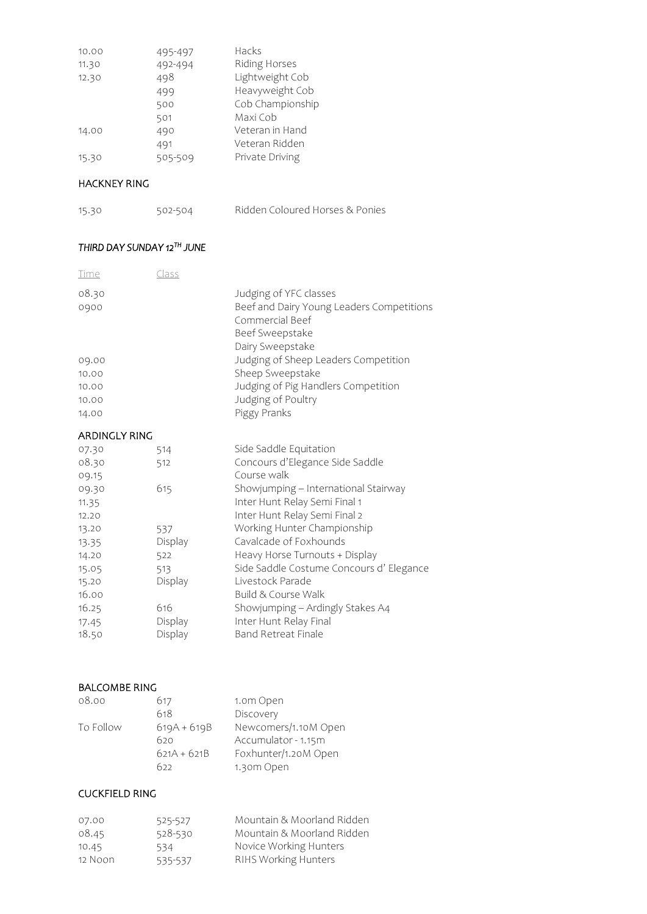| 10.00 | 495-497 | Hacks            |
|-------|---------|------------------|
| 11.30 | 492-494 | Riding Horses    |
| 12.30 | 498     | Lightweight Cob  |
|       | 499     | Heavyweight Cob  |
|       | 500     | Cob Championship |
|       | 501     | Maxi Cob         |
| 14.00 | 490     | Veteran in Hand  |
|       | 491     | Veteran Ridden   |
| 15.30 | 505-509 | Private Driving  |

### HACKNEY RING

15.30 502-504 Ridden Coloured Horses & Ponies

### *THIRD DAY SUNDAY 12TH JUNE*

| <u>Time</u>   | <u>Class</u> |                                                                                                                               |
|---------------|--------------|-------------------------------------------------------------------------------------------------------------------------------|
| 08.30<br>0900 |              | Judging of YFC classes<br>Beef and Dairy Young Leaders Competitions<br>Commercial Beef<br>Beef Sweepstake<br>Dairy Sweepstake |
| 09.00         |              | Judging of Sheep Leaders Competition                                                                                          |
| 10.00         |              | Sheep Sweepstake                                                                                                              |
| 10.00         |              | Judging of Pig Handlers Competition                                                                                           |
| 10.00         |              | Judging of Poultry                                                                                                            |
| 14.00         |              | Piggy Pranks                                                                                                                  |
| ARDINGLY RING |              |                                                                                                                               |
| 07.30         | 514          | Side Saddle Equitation                                                                                                        |
| 08.30         | 512          | Concours d'Elegance Side Saddle                                                                                               |
| 09.15         |              | Course walk                                                                                                                   |
| 09.30         | 615          | Showjumping - International Stairway                                                                                          |
| 11.35         |              | Inter Hunt Relay Semi Final 1                                                                                                 |
| 12.20         |              | Inter Hunt Relay Semi Final 2                                                                                                 |
| 13.20         | 537          | Working Hunter Championship                                                                                                   |
| 13.35         | Display      | Cavalcade of Foxhounds                                                                                                        |
|               |              |                                                                                                                               |

| 14.20 | 522     | Heavy Horse Turnouts + Display          |
|-------|---------|-----------------------------------------|
| 15.05 | 513     | Side Saddle Costume Concours d'Elegance |
| 15.20 | Display | Livestock Parade                        |
| 16.00 |         | Build & Course Walk                     |
| 16.25 | 616     | Showjumping - Ardingly Stakes A4        |
| 17.45 | Display | Inter Hunt Relay Final                  |

### BALCOMBE RING

| Newcomers/1.10M Open |
|----------------------|
|                      |
| Foxhunter/1.20M Open |
|                      |
|                      |

18.50 Display Band Retreat Finale

### CUCKFIELD RING

| 07.00   | 525-527 | Mountain & Moorland Ridden |
|---------|---------|----------------------------|
| 08.45   | 528-530 | Mountain & Moorland Ridden |
| 10.45   | 534     | Novice Working Hunters     |
| 12 Noon | 535-537 | RIHS Working Hunters       |